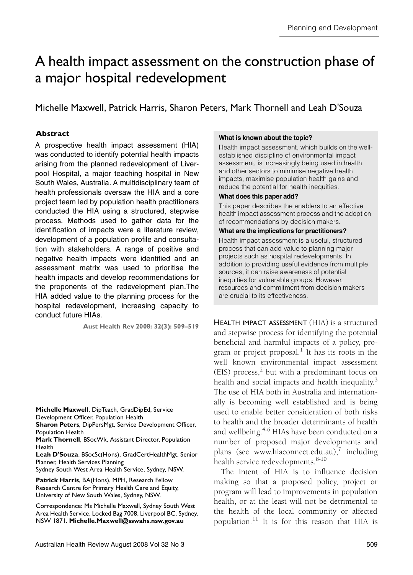# <span id="page-0-0"></span>A health impact assessment on the construction phase of a major hospital redevelopment

Michelle Maxwell, Patrick Harris, Sharon Peters, Mark Thornell and Leah D'Souza

### **Abstract**

arising from the planned redevelopment of Liverpool Hospital, a major teaching hospital in New South Wales, Australia. A multidisciplinary team of health professionals oversaw the HIA and a core noding protectionals evendant and that a development project team led by population health practitioners A prospective health impact assessment (HIA) was conducted to identify potential health impacts conducted the HIA using a structured, stepwise process. Methods used to gather data for the identification of impacts were a literature review, development of a population profile and consultation with stakeholders. A range of positive and negative health impacts were identified and an assessment matrix was used to prioritise the health impacts and develop recommendations for the proponents of the redevelopment plan.The HIA added value to the planning process for the hospital redevelopment, increasing capacity to conduct future HIAs.

**Aust Health Rev 2008: 32(3): 509–519**

**Michelle Maxwell**, DipTeach, GradDipEd, Service Development Officer, Population Health

**Sharon Peters**, DipPersMgt, Service Development Officer, Population Health

**Leah D'Souza**, BSocSc(Hons), GradCertHealthMgt, Senior Planner, Health Services Planning

Sydney South West Area Health Service, Sydney, NSW.

**Patrick Harris**, BA(Hons), MPH, Research Fellow Research Centre for Primary Health Care and Equity, University of New South Wales, Sydney, NSW.

Correspondence: Ms Michelle Maxwell, Sydney South West Area Health Service, Locked Bag 7008, Liverpool BC, Sydney, NSW 1871. **Michelle.Maxwell@sswahs.nsw.gov.au**

#### **What is known about the topic?**

Health impact assessment, which builds on the wellestablished discipline of environmental impact assessment, is increasingly being used in health and other sectors to minimise negative health impacts, maximise population health gains and reduce the potential for health inequities.

#### **What does this paper add?**

This paper describes the enablers to an effective health impact assessment process and the adoption of recommendations by decision makers.

#### **What are the implications for practitioners?**

Health impact assessment is a useful, structured process that can add value to planning major projects such as hospital redevelopments. In addition to providing useful evidence from multiple sources, it can raise awareness of potential inequities for vulnerable groups. However, resources and commitment from decision makers are crucial to its effectiveness.

HEALTH IMPACT ASSESSMENT (HIA) is a structured and stepwise process for identifying the potential beneficial and harmful impacts of a policy, program or project proposal. $^{\rm l}$  It has its roots in the well known environmental impact assessment (EIS) process, $2$  but with a predominant focus on health and social impacts and health inequality. $3$ The use of HIA both in Australia and internationally is becoming well established and is being used to enable better consideration of both risks to health and the broader determinants of health and wellbeing. $4-6$  $4-6$  HIAs have been conducted on a number of proposed major developments and plans (see www.hiaconnect.edu.au),<sup>[7](#page-9-4)</sup> including health service redevelopments.<sup>[8](#page-9-8)-[10](#page-9-5)</sup>

The intent of HIA is to influence decision making so that a proposed policy, project or program will lead to improvements in population health, or at the least will not be detrimental to the health of the local community or affected population.[11](#page-9-6) It is for this reason that HIA is

**Mark Thornell**, BSocWk, Assistant Director, Population Health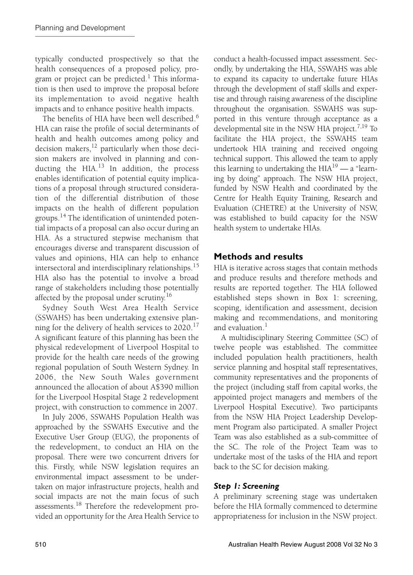typically conducted prospectively so that the health consequences of a proposed policy, pro-gram or project can be predicted.<sup>[1](#page-9-7)</sup> This information is then used to improve the proposal before its implementation to avoid negative health impacts and to enhance positive health impacts.

The benefits of HIA have been well described.<sup>[6](#page-9-3)</sup> HIA can raise the profile of social determinants of health and health outcomes among policy and decision makers, $^{12}$  particularly when those decision makers are involved in planning and conducting the HIA. $13$  In addition, the process enables identification of potential equity implications of a proposal through structured consideration of the differential distribution of those impacts on the health of different population groups.<sup>14</sup> The identification of unintended potential impacts of a proposal can also occur during an HIA. As a structured stepwise mechanism that encourages diverse and transparent discussion of values and opinions, HIA can help to enhance intersectoral and interdisciplinary relationships.[15](#page-10-4) HIA also has the potential to involve a broad range of stakeholders including those potentially affected by the proposal under scrutiny.<sup>[16](#page-10-5)</sup>

Sydney South West Area Health Service (SSWAHS) has been undertaking extensive plan-ning for the delivery of health services to 2020.<sup>[17](#page-10-6)</sup> A significant feature of this planning has been the physical redevelopment of Liverpool Hospital to provide for the health care needs of the growing regional population of South Western Sydney. In 2006, the New South Wales government announced the allocation of about A\$390 million for the Liverpool Hospital Stage 2 redevelopment project, with construction to commence in 2007.

In July 2006, SSWAHS Population Health was approached by the SSWAHS Executive and the Executive User Group (EUG), the proponents of the redevelopment, to conduct an HIA on the proposal. There were two concurrent drivers for this. Firstly, while NSW legislation requires an environmental impact assessment to be undertaken on major infrastructure projects, health and social impacts are not the main focus of such assessments.[18](#page-10-7) Therefore the redevelopment provided an opportunity for the Area Health Service to

conduct a health-focussed impact assessment. Secondly, by undertaking the HIA, SSWAHS was able to expand its capacity to undertake future HIAs through the development of staff skills and expertise and through raising awareness of the discipline throughout the organisation. SSWAHS was supported in this venture through acceptance as a developmental site in the NSW HIA project.<sup>[7](#page-9-4)[,19](#page-10-8)</sup> To facilitate the HIA project, the SSWAHS team undertook HIA training and received ongoing technical support. This allowed the team to apply this learning to undertaking the  $HIA^{19}$  — a "learning by doing" approach. The NSW HIA project, funded by NSW Health and coordinated by the Centre for Health Equity Training, Research and Evaluation (CHETRE) at the University of NSW, was established to build capacity for the NSW health system to undertake HIAs.

# **Methods and results**

HIA is iterative across stages that contain methods and produce results and therefore methods and results are reported together. The HIA followed established steps shown in [Box 1:](#page-2-0) screening, scoping, identification and assessment, decision making and recommendations, and monitoring and evaluation. $<sup>1</sup>$  $<sup>1</sup>$  $<sup>1</sup>$ </sup>

A multidisciplinary Steering Committee (SC) of twelve people was established. The committee included population health practitioners, health service planning and hospital staff representatives, community representatives and the proponents of the project (including staff from capital works, the appointed project managers and members of the Liverpool Hospital Executive). Two participants from the NSW HIA Project Leadership Development Program also participated. A smaller Project Team was also established as a sub-committee of the SC. The role of the Project Team was to undertake most of the tasks of the HIA and report back to the SC for decision making.

## *Step 1: Screening*

A preliminary screening stage was undertaken before the HIA formally commenced to determine appropriateness for inclusion in the NSW project.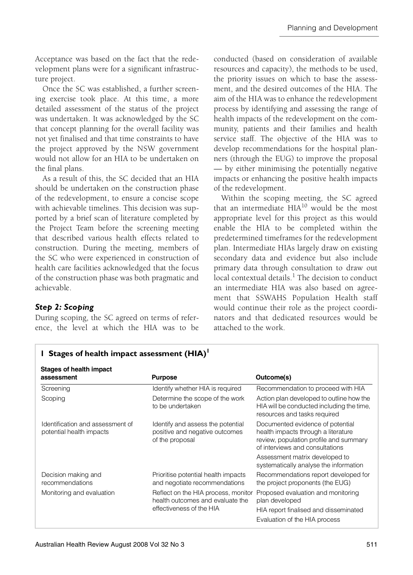Acceptance was based on the fact that the redevelopment plans were for a significant infrastructure project.

Once the SC was established, a further screening exercise took place. At this time, a more detailed assessment of the status of the project was undertaken. It was acknowledged by the SC that concept planning for the overall facility was not yet finalised and that time constraints to have the project approved by the NSW government would not allow for an HIA to be undertaken on the final plans.

As a result of this, the SC decided that an HIA should be undertaken on the construction phase of the redevelopment, to ensure a concise scope with achievable timelines. This decision was supported by a brief scan of literature completed by the Project Team before the screening meeting that described various health effects related to construction. During the meeting, members of the SC who were experienced in construction of health care facilities acknowledged that the focus of the construction phase was both pragmatic and achievable.

### *Step 2: Scoping*

During scoping, the SC agreed on terms of reference, the level at which the HIA was to be

<span id="page-2-0"></span>**1 Stages of health impact assessment (HIA)[1](#page-9-7)**

conducted (based on consideration of available resources and capacity), the methods to be used, the priority issues on which to base the assessment, and the desired outcomes of the HIA. The aim of the HIA was to enhance the redevelopment process by identifying and assessing the range of health impacts of the redevelopment on the community, patients and their families and health service staff. The objective of the HIA was to develop recommendations for the hospital planners (through the EUG) to improve the proposal — by either minimising the potentially negative impacts or enhancing the positive health impacts of the redevelopment.

Within the scoping meeting, the SC agreed that an intermediate  $HIA^{10}$  would be the most appropriate level for this project as this would enable the HIA to be completed within the predetermined timeframes for the redevelopment plan. Intermediate HIAs largely draw on existing secondary data and evidence but also include primary data through consultation to draw out local contextual details. $^{\rm l}$  The decision to conduct an intermediate HIA was also based on agreement that SSWAHS Population Health staff would continue their role as the project coordinators and that dedicated resources would be attached to the work.

| Stages of health impact                                      |                                                                                        |                                                                                                                                                                                        |
|--------------------------------------------------------------|----------------------------------------------------------------------------------------|----------------------------------------------------------------------------------------------------------------------------------------------------------------------------------------|
| assessment                                                   | <b>Purpose</b>                                                                         | Outcome(s)                                                                                                                                                                             |
| Screening                                                    | Identify whether HIA is required                                                       | Recommendation to proceed with HIA                                                                                                                                                     |
| Scoping                                                      | Determine the scope of the work<br>to be undertaken                                    | Action plan developed to outline how the<br>HIA will be conducted including the time,<br>resources and tasks required                                                                  |
| Identification and assessment of<br>potential health impacts | Identify and assess the potential<br>positive and negative outcomes<br>of the proposal | Documented evidence of potential<br>health impacts through a literature<br>review, population profile and summary<br>of interviews and consultations<br>Assessment matrix developed to |
|                                                              |                                                                                        | systematically analyse the information                                                                                                                                                 |
| Decision making and<br>recommendations                       | Prioritise potential health impacts<br>and negotiate recommendations                   | Recommendations report developed for<br>the project proponents (the EUG)                                                                                                               |
| Monitoring and evaluation                                    | Reflect on the HIA process, monitor<br>health outcomes and evaluate the                | Proposed evaluation and monitoring<br>plan developed                                                                                                                                   |
|                                                              | effectiveness of the HIA                                                               | HIA report finalised and disseminated<br>Evaluation of the HIA process                                                                                                                 |

| Identification and assessment of | Identify and as |
|----------------------------------|-----------------|
| notantial haalth imnacte         | positive and no |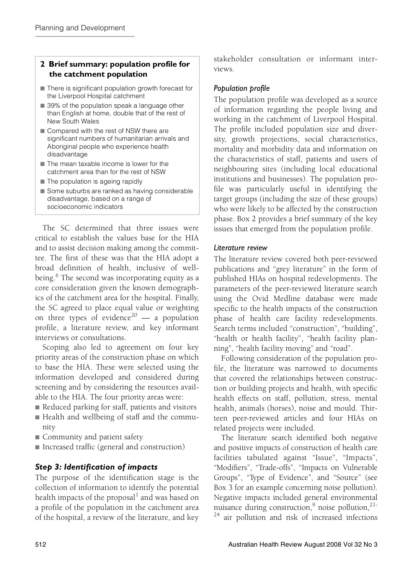#### <span id="page-3-0"></span>**2 Brief summary: population profile for the catchment population**

- There is significant population growth forecast for the Liverpool Hospital catchment
- 39% of the population speak a language other than English at home, double that of the rest of New South Wales
- Compared with the rest of NSW there are significant numbers of humanitarian arrivals and Aboriginal people who experience health disadvantage
- The mean taxable income is lower for the catchment area than for the rest of NSW
- The population is ageing rapidly
- Some suburbs are ranked as having considerable disadvantage, based on a range of socioeconomic indicators

The SC determined that three issues were critical to establish the values base for the HIA and to assist decision making among the committee. The first of these was that the HIA adopt a broad definition of health, inclusive of well-being.<sup>[6](#page-9-3)</sup> The second was incorporating equity as a core consideration given the known demographics of the catchment area for the hospital. Finally, the SC agreed to place equal value or weighting on three types of evidence<sup>20</sup> — a population profile, a literature review, and key informant interviews or consultations.

Scoping also led to agreement on four key priority areas of the construction phase on which to base the HIA. These were selected using the information developed and considered during screening and by considering the resources available to the HIA. The four priority areas were:

- Reduced parking for staff, patients and visitors
- Health and wellbeing of staff and the community
- Community and patient safety
- Increased traffic (general and construction)

### *Step 3: Identification of impacts*

The purpose of the identification stage is the collection of information to identify the potential health impacts of the proposal $^{\rm l}$  and was based on a profile of the population in the catchment area of the hospital, a review of the literature, and key

stakeholder consultation or informant interviews.

#### *Population profile*

The population profile was developed as a source of information regarding the people living and working in the catchment of Liverpool Hospital. The profile included population size and diversity, growth projections, social characteristics, mortality and morbidity data and information on the characteristics of staff, patients and users of neighbouring sites (including local educational institutions and businesses). The population profile was particularly useful in identifying the target groups (including the size of these groups) who were likely to be affected by the construction phase. [Box 2](#page-3-0) provides a brief summary of the key issues that emerged from the population profile.

#### *Literature review*

The literature review covered both peer-reviewed publications and "grey literature" in the form of published HIAs on hospital redevelopments. The parameters of the peer-reviewed literature search using the Ovid Medline database were made specific to the health impacts of the construction phase of health care facility redevelopments. Search terms included "construction", "building", "health or health facility", "health facility planning", "health facility moving" and "road".

Following consideration of the population profile, the literature was narrowed to documents that covered the relationships between construction or building projects and health, with specific health effects on staff, pollution, stress, mental health, animals (horses), noise and mould. Thirteen peer-reviewed articles and four HIAs on related projects were included.

The literature search identified both negative and positive impacts of construction of health care facilities tabulated against "Issue", "Impacts", "Modifiers", "Trade-offs", "Impacts on Vulnerable Groups", "Type of Evidence", and "Source" (see [Box 3](#page-4-0) for an example concerning noise pollution). Negative impacts included general environmental nuisance during construction,<sup>[9](#page-9-9)</sup> noise pollution,<sup>[21](#page-10-10)[-](#page-10-11)</sup>  $24$  air pollution and risk of increased infections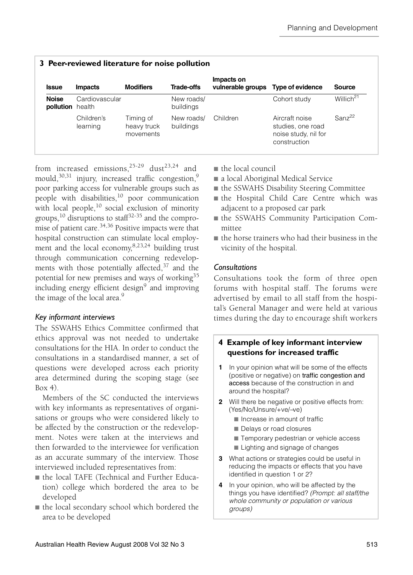<span id="page-4-0"></span>

| <b>Issue</b>                     | 3 Peer-reviewed literature for noise pollution<br><b>Modifiers</b><br>Trade-offs<br><b>Impacts</b> |                                       |                         | Impacts on<br>vulnerable groups Type of evidence |                                                                             | <b>Source</b>         |
|----------------------------------|----------------------------------------------------------------------------------------------------|---------------------------------------|-------------------------|--------------------------------------------------|-----------------------------------------------------------------------------|-----------------------|
| <b>Noise</b><br>pollution health | Cardiovascular                                                                                     |                                       | New roads/<br>buildings |                                                  | Cohort study                                                                | Willich <sup>21</sup> |
|                                  | Children's<br>learning                                                                             | Timing of<br>heavy truck<br>movements | New roads/<br>buildings | Children                                         | Aircraft noise<br>studies, one road<br>noise study, nil for<br>construction | Sanz <sup>22</sup>    |

from increased emissions,  $25-29$  $25-29$  dust  $23,24$  $23,24$  and mould. $30,31$  $30,31$  injury, increased traffic congestion,<sup>9</sup> poor parking access for vulnerable groups such as people with disabilities, $\frac{10}{10}$  poor communication with local people, $^{10}$  social exclusion of minority groups,<sup>10</sup> disruptions to staff<sup>[32](#page-10-17)-35</sup> and the compromise of patient care.<sup>34,36</sup> Positive impacts were that hospital construction can stimulate local employment and the local economy, $8,23,24$  $8,23,24$  $8,23,24$  building trust through communication concerning redevelopments with those potentially affected, $37$  and the potential for new premises and ways of working $35$ including energy efficient design<sup>[9](#page-9-9)</sup> and improving the image of the local area.<sup>[9](#page-9-9)</sup>

### *Key informant interviews*

The SSWAHS Ethics Committee confirmed that ethics approval was not needed to undertake consultations for the HIA. In order to conduct the consultations in a standardised manner, a set of questions were developed across each priority area determined during the scoping stage (see  $Box(4)$ 

Members of the SC conducted the interviews with key informants as representatives of organisations or groups who were considered likely to be affected by the construction or the redevelopment. Notes were taken at the interviews and then forwarded to the interviewee for verification as an accurate summary of the interview. Those interviewed included representatives from:

- the local TAFE (Technical and Further Education) college which bordered the area to be developed
- the local secondary school which bordered the area to be developed
- the local council
- a local Aboriginal Medical Service
- the SSWAHS Disability Steering Committee
- the Hospital Child Care Centre which was adjacent to a proposed car park
- the SSWAHS Community Participation Committee
- the horse trainers who had their business in the vicinity of the hospital.

#### *Consultations*

Consultations took the form of three open forums with hospital staff. The forums were advertised by email to all staff from the hospital's General Manager and were held at various times during the day to encourage shift workers

#### <span id="page-4-1"></span>**4 Example of key informant interview questions for increased traffic**

- **1** In your opinion what will be some of the effects (positive or negative) on traffic congestion and access because of the construction in and around the hospital?
- **2** Will there be negative or positive effects from: (Yes/No/Unsure/+ve/−ve)
	- Increase in amount of traffic
	- Delays or road closures
	- Temporary pedestrian or vehicle access
	- Lighting and signage of changes
- **3** What actions or strategies could be useful in reducing the impacts or effects that you have identified in question 1 or 2?
- **4** In your opinion, who will be affected by the things you have identified? *(Prompt: all staff/the whole community or population or various groups)*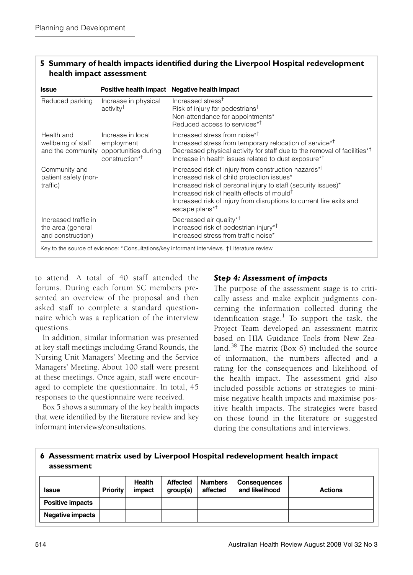<span id="page-5-0"></span>

| 5 Summary of health impacts identified during the Liverpool Hospital redevelopment |
|------------------------------------------------------------------------------------|
| health impact assessment                                                           |

| <b>Issue</b>                                                   |                                                                                                         | Positive health impact Negative health impact                                                                                                                                                                                                                                                                                                  |
|----------------------------------------------------------------|---------------------------------------------------------------------------------------------------------|------------------------------------------------------------------------------------------------------------------------------------------------------------------------------------------------------------------------------------------------------------------------------------------------------------------------------------------------|
| Reduced parking                                                | Increase in physical<br>activity <sup>†</sup>                                                           | Increased stress <sup>†</sup><br>Risk of injury for pedestrians <sup>†</sup><br>Non-attendance for appointments*<br>Reduced access to services <sup>*†</sup>                                                                                                                                                                                   |
| Health and<br>wellbeing of staff                               | Increase in local<br>employment<br>and the community opportunities during<br>construction* <sup>†</sup> | Increased stress from noise <sup>*†</sup><br>Increased stress from temporary relocation of service* <sup>†</sup><br>Decreased physical activity for staff due to the removal of facilities <sup>*†</sup><br>Increase in health issues related to dust exposure* <sup>†</sup>                                                                   |
| Community and<br>patient safety (non-<br>traffic)              |                                                                                                         | Increased risk of injury from construction hazards* <sup>†</sup><br>Increased risk of child protection issues*<br>Increased risk of personal injury to staff (security issues)*<br>Increased risk of health effects of mould <sup>†</sup><br>Increased risk of injury from disruptions to current fire exits and<br>escape plans* <sup>†</sup> |
| Increased traffic in<br>the area (general<br>and construction) |                                                                                                         | Decreased air quality <sup>*†</sup><br>Increased risk of pedestrian injury* <sup>†</sup><br>Increased stress from traffic noise*                                                                                                                                                                                                               |

to attend. A total of 40 staff attended the forums. During each forum SC members presented an overview of the proposal and then asked staff to complete a standard questionnaire which was a replication of the interview questions.

In addition, similar information was presented at key staff meetings including Grand Rounds, the Nursing Unit Managers' Meeting and the Service Managers' Meeting. About 100 staff were present at these meetings. Once again, staff were encouraged to complete the questionnaire. In total, 45 responses to the questionnaire were received.

[Box 5](#page-5-0) shows a summary of the key health impacts that were identified by the literature review and key informant interviews/consultations.

### *Step 4: Assessment of impacts*

The purpose of the assessment stage is to critically assess and make explicit judgments concerning the information collected during the identification stage.<sup>[1](#page-9-7)</sup> To support the task, the Project Team developed an assessment matrix based on HIA Guidance Tools from New Zea-land.<sup>[38](#page-10-22)</sup> The matrix ([Box 6\)](#page-5-1) included the source of information, the numbers affected and a rating for the consequences and likelihood of the health impact. The assessment grid also included possible actions or strategies to minimise negative health impacts and maximise positive health impacts. The strategies were based on those found in the literature or suggested during the consultations and interviews.

#### <span id="page-5-1"></span>**6 Assessment matrix used by Liverpool Hospital redevelopment health impact assessment**

| <b>Issue</b>     | <b>Priority</b> | Health<br>impact | Affected<br>group(s) | <b>Numbers</b><br>affected | <b>Consequences</b><br>and likelihood | <b>Actions</b> |
|------------------|-----------------|------------------|----------------------|----------------------------|---------------------------------------|----------------|
| Positive impacts |                 |                  |                      |                            |                                       |                |
| Negative impacts |                 |                  |                      |                            |                                       |                |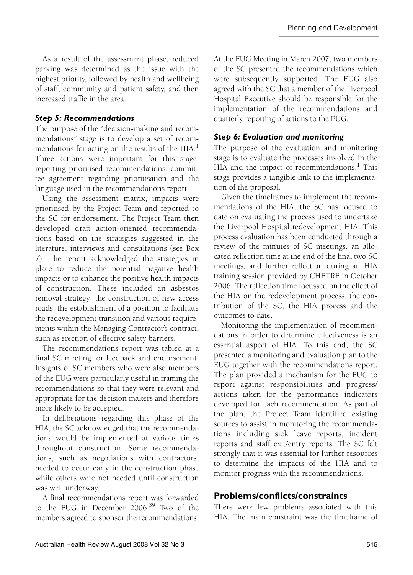As a result of the assessment phase, reduced parking was determined as the issue with the highest priority, followed by health and wellbeing of staff, community and patient safety, and then increased traffic in the area.

### *Step 5: Recommendations*

The purpose of the "decision-making and recommendations" stage is to develop a set of recom-mendations for acting on the results of the HIA.<sup>[1](#page-9-7)</sup> Three actions were important for this stage: reporting prioritised recommendations, committee agreement regarding prioritisation and the language used in the recommendations report.

Using the assessment matrix, impacts were prioritised by the Project Team and reported to the SC for endorsement. The Project Team then developed draft action-oriented recommendations based on the strategies suggested in the literature, interviews and consultations (see [Box](#page-7-0) [7\)](#page-7-0). The report acknowledged the strategies in place to reduce the potential negative health impacts or to enhance the positive health impacts of construction. These included an asbestos removal strategy; the construction of new access roads; the establishment of a position to facilitate the redevelopment transition and various requirements within the Managing Contractor's contract, such as erection of effective safety barriers.

The recommendations report was tabled at a final SC meeting for feedback and endorsement. Insights of SC members who were also members of the EUG were particularly useful in framing the recommendations so that they were relevant and appropriate for the decision makers and therefore more likely to be accepted.

In deliberations regarding this phase of the HIA, the SC acknowledged that the recommendations would be implemented at various times throughout construction. Some recommendations, such as negotiations with contractors, needed to occur early in the construction phase while others were not needed until construction was well underway.

A final recommendations report was forwarded to the EUG in December 2006.[39](#page-10-0) Two of the members agreed to sponsor the recommendations.

At the EUG Meeting in March 2007, two members of the SC presented the recommendations which were subsequently supported. The EUG also agreed with the SC that a member of the Liverpool Hospital Executive should be responsible for the implementation of the recommendations and quarterly reporting of actions to the EUG.

#### *Step 6: Evaluation and monitoring*

The purpose of the evaluation and monitoring stage is to evaluate the processes involved in the HIA and the impact of recommendations.<sup>[1](#page-9-7)</sup> This stage provides a tangible link to the implementation of the proposal.

Given the timeframes to implement the recommendations of the HIA, the SC has focused to date on evaluating the process used to undertake the Liverpool Hospital redevelopment HIA. This process evaluation has been conducted through a review of the minutes of SC meetings, an allocated reflection time at the end of the final two SC meetings, and further reflection during an HIA training session provided by CHETRE in October 2006. The reflection time focussed on the effect of the HIA on the redevelopment process, the contribution of the SC, the HIA process and the outcomes to date.

Monitoring the implementation of recommendations in order to determine effectiveness is an essential aspect of HIA. To this end, the SC presented a monitoring and evaluation plan to the EUG together with the recommendations report. The plan provided a mechanism for the EUG to report against responsibilities and progress/ actions taken for the performance indicators developed for each recommendation. As part of the plan, the Project Team identified existing sources to assist in monitoring the recommendations including sick leave reports, incident reports and staff exit/entry reports. The SC felt strongly that it was essential for further resources to determine the impacts of the HIA and to monitor progress with the recommendations.

## **Problems/conflicts/constraints**

There were few problems associated with this HIA. The main constraint was the timeframe of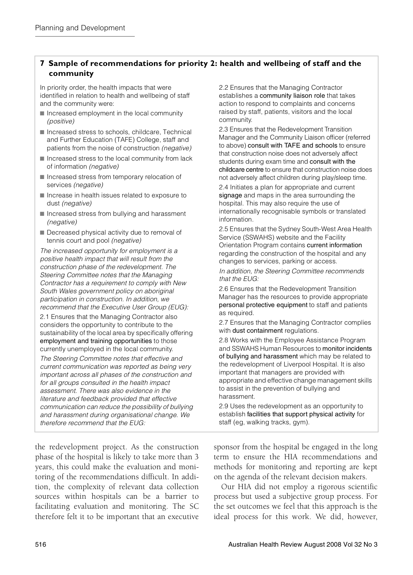#### <span id="page-7-0"></span>**7 Sample of recommendations for priority 2: health and wellbeing of staff and the community**

In priority order, the health impacts that were identified in relation to health and wellbeing of staff and the community were:

- Increased employment in the local community *(positive)*
- Increased stress to schools, childcare, Technical and Further Education (TAFE) College, staff and patients from the noise of construction *(negative)*
- Increased stress to the local community from lack of information *(negative)*
- Increased stress from temporary relocation of services *(negative)*
- Increase in health issues related to exposure to dust *(negative)*
- Increased stress from bullying and harassment *(negative)*
- Decreased physical activity due to removal of tennis court and pool *(negative)*

*The increased opportunity for employment is a positive health impact that will result from the construction phase of the redevelopment. The Steering Committee notes that the Managing Contractor has a requirement to comply with New South Wales government policy on aboriginal participation in construction. In addition, we recommend that the Executive User Group (EUG):*

2.1 Ensures that the Managing Contractor also considers the opportunity to contribute to the sustainability of the local area by specifically offering employment and training opportunities to those currently unemployed in the local community.

*The Steering Committee notes that effective and current communication was reported as being very important across all phases of the construction and for all groups consulted in the health impact assessment. There was also evidence in the literature and feedback provided that effective communication can reduce the possibility of bullying and harassment during organisational change. We therefore recommend that the EUG:*

the redevelopment project. As the construction phase of the hospital is likely to take more than 3 years, this could make the evaluation and monitoring of the recommendations difficult. In addition, the complexity of relevant data collection sources within hospitals can be a barrier to facilitating evaluation and monitoring. The SC therefore felt it to be important that an executive 2.2 Ensures that the Managing Contractor establishes a community liaison role that takes action to respond to complaints and concerns raised by staff, patients, visitors and the local community.

2.3 Ensures that the Redevelopment Transition Manager and the Community Liaison officer (referred to above) consult with TAFE and schools to ensure that construction noise does not adversely affect students during exam time and consult with the childcare centre to ensure that construction noise does not adversely affect children during play/sleep time. 2.4 Initiates a plan for appropriate and current signage and maps in the area surrounding the hospital. This may also require the use of internationally recognisable symbols or translated information.

2.5 Ensures that the Sydney South-West Area Health Service (SSWAHS) website and the Facility Orientation Program contains current information regarding the construction of the hospital and any changes to services, parking or access.

*In addition, the Steering Committee recommends that the EUG:*

2.6 Ensures that the Redevelopment Transition Manager has the resources to provide appropriate personal protective equipment to staff and patients as required.

2.7 Ensures that the Managing Contractor complies with dust containment regulations.

2.8 Works with the Employee Assistance Program and SSWAHS Human Resources to monitor incidents of bullying and harassment which may be related to the redevelopment of Liverpool Hospital. It is also important that managers are provided with appropriate and effective change management skills to assist in the prevention of bullying and harassment.

2.9 Uses the redevelopment as an opportunity to establish facilities that support physical activity for staff (eg, walking tracks, gym).

sponsor from the hospital be engaged in the long term to ensure the HIA recommendations and methods for monitoring and reporting are kept on the agenda of the relevant decision makers.

Our HIA did not employ a rigorous scientific process but used a subjective group process. For the set outcomes we feel that this approach is the ideal process for this work. We did, however,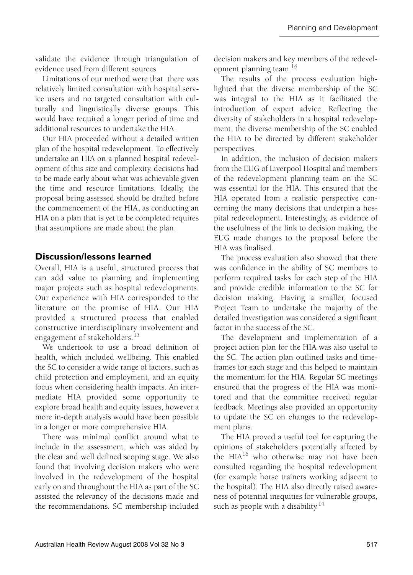validate the evidence through triangulation of evidence used from different sources.

Limitations of our method were that there was relatively limited consultation with hospital service users and no targeted consultation with culturally and linguistically diverse groups. This would have required a longer period of time and additional resources to undertake the HIA.

Our HIA proceeded without a detailed written plan of the hospital redevelopment. To effectively undertake an HIA on a planned hospital redevelopment of this size and complexity, decisions had to be made early about what was achievable given the time and resource limitations. Ideally, the proposal being assessed should be drafted before the commencement of the HIA, as conducting an HIA on a plan that is yet to be completed requires that assumptions are made about the plan.

## **Discussion/lessons learned**

Overall, HIA is a useful, structured process that can add value to planning and implementing major projects such as hospital redevelopments. Our experience with HIA corresponded to the literature on the promise of HIA. Our HIA provided a structured process that enabled constructive interdisciplinary involvement and engagement of stakeholders.<sup>[15](#page-10-4)</sup>

We undertook to use a broad definition of health, which included wellbeing. This enabled the SC to consider a wide range of factors, such as child protection and employment, and an equity focus when considering health impacts. An intermediate HIA provided some opportunity to explore broad health and equity issues, however a more in-depth analysis would have been possible in a longer or more comprehensive HIA.

There was minimal conflict around what to include in the assessment, which was aided by the clear and well defined scoping stage. We also found that involving decision makers who were involved in the redevelopment of the hospital early on and throughout the HIA as part of the SC assisted the relevancy of the decisions made and the recommendations. SC membership included decision makers and key members of the redevelopment planning team.[16](#page-10-5)

The results of the process evaluation highlighted that the diverse membership of the SC was integral to the HIA as it facilitated the introduction of expert advice. Reflecting the diversity of stakeholders in a hospital redevelopment, the diverse membership of the SC enabled the HIA to be directed by different stakeholder perspectives.

In addition, the inclusion of decision makers from the EUG of Liverpool Hospital and members of the redevelopment planning team on the SC was essential for the HIA. This ensured that the HIA operated from a realistic perspective concerning the many decisions that underpin a hospital redevelopment. Interestingly, as evidence of the usefulness of the link to decision making, the EUG made changes to the proposal before the HIA was finalised.

The process evaluation also showed that there was confidence in the ability of SC members to perform required tasks for each step of the HIA and provide credible information to the SC for decision making. Having a smaller, focused Project Team to undertake the majority of the detailed investigation was considered a significant factor in the success of the SC.

The development and implementation of a project action plan for the HIA was also useful to the SC. The action plan outlined tasks and timeframes for each stage and this helped to maintain the momentum for the HIA. Regular SC meetings ensured that the progress of the HIA was monitored and that the committee received regular feedback. Meetings also provided an opportunity to update the SC on changes to the redevelopment plans.

The HIA proved a useful tool for capturing the opinions of stakeholders potentially affected by the HIA<sup>[16](#page-10-5)</sup> who otherwise may not have been consulted regarding the hospital redevelopment (for example horse trainers working adjacent to the hospital). The HIA also directly raised awareness of potential inequities for vulnerable groups, such as people with a disability.<sup>[14](#page-10-3)</sup>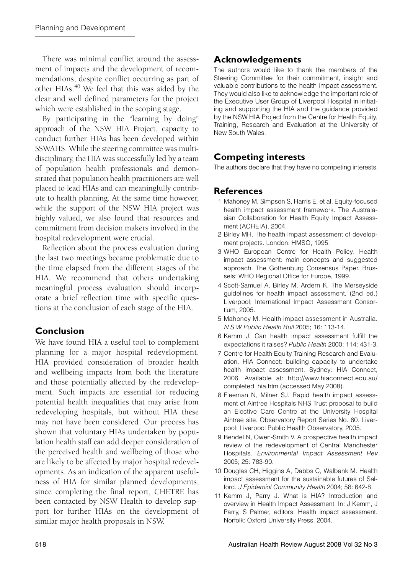There was minimal conflict around the assessment of impacts and the development of recommendations, despite conflict occurring as part of other HIAs.[40](#page-10-23) We feel that this was aided by the clear and well defined parameters for the project which were established in the scoping stage.

By participating in the "learning by doing" approach of the NSW HIA Project, capacity to conduct further HIAs has been developed within SSWAHS. While the steering committee was multidisciplinary, the HIA was successfully led by a team of population health professionals and demonstrated that population health practitioners are well placed to lead HIAs and can meaningfully contribute to health planning. At the same time however, while the support of the NSW HIA project was highly valued, we also found that resources and commitment from decision makers involved in the hospital redevelopment were crucial.

Reflection about the process evaluation during the last two meetings became problematic due to the time elapsed from the different stages of the HIA. We recommend that others undertaking meaningful process evaluation should incorporate a brief reflection time with specific questions at the conclusion of each stage of the HIA.

## **Conclusion**

We have found HIA a useful tool to complement planning for a major hospital redevelopment. HIA provided consideration of broader health and wellbeing impacts from both the literature and those potentially affected by the redevelopment. Such impacts are essential for reducing potential health inequalities that may arise from redeveloping hospitals, but without HIA these may not have been considered. Our process has shown that voluntary HIAs undertaken by population health staff can add deeper consideration of the perceived health and wellbeing of those who are likely to be affected by major hospital redevelopments. As an indication of the apparent usefulness of HIA for similar planned developments, since completing the final report, CHETRE has been contacted by NSW Health to develop support for further HIAs on the development of similar major health proposals in NSW.

## **Acknowledgements**

The authors would like to thank the members of the Steering Committee for their commitment, insight and valuable contributions to the health impact assessment. They would also like to acknowledge the important role of the Executive User Group of Liverpool Hospital in initiating and supporting the HIA and the guidance provided by the NSW HIA Project from the Centre for Health Equity, Training, Research and Evaluation at the University of New South Wales.

# **Competing interests**

The authors declare that they have no competing interests.

## **References**

- <span id="page-9-7"></span>1 Mahoney M, Simpson S, Harris E, et al. Equity-focused health impact assessment framework. The Australasian Collaboration for Health Equity Impact Assessment (ACHEIA), 2004.
- <span id="page-9-0"></span>2 Birley MH. The health impact assessment of development projects. London: HMSO, 1995.
- <span id="page-9-1"></span>3 WHO European Centre for Health Policy. Health impact assessment: main concepts and suggested approach. The Gothenburg Consensus Paper. Brussels: WHO Regional Office for Europe, 1999.
- <span id="page-9-2"></span>4 Scott-Samuel A, Birley M, Ardern K. The Merseyside guidelines for health impact assessment. (2nd ed.) Liverpool; International Impact Assessment Consortium, 2005.
- 5 Mahoney M. Health impact assessment in Australia. *N S W Public Health Bull* 2005; 16: 113-14.
- <span id="page-9-3"></span>6 Kemm J. Can health impact assessment fulfill the expectations it raises? *Public Health* 2000; 114: 431-3.
- <span id="page-9-4"></span>[7 Centre for Health Equity Training Research and Evalu](http://www.hiaconnect.edu.au/completed_hia.htm)ation. HIA Connect: building capacity to undertake health impact assessment. Sydney: HIA Connect, 2006. Available at: http://www.hiaconnect.edu.au/ completed\_hia.htm (accessed May 2008).
- <span id="page-9-8"></span>8 Fleeman N, Milner SJ. Rapid health impact assessment of Aintree Hospitals NHS Trust proposal to build an Elective Care Centre at the University Hospital Aintree site. Observatory Report Series No. 60. Liverpool: Liverpool Public Health Observatory, 2005.
- <span id="page-9-9"></span>9 Bendel N, Owen-Smith V. A prospective health impact review of the redevelopment of Central Manchester Hospitals. *Environmental Impact Assessment Rev* 2005; 25: 783-90.
- <span id="page-9-5"></span>10 Douglas CH, Higgins A, Dabbs C, Walbank M. Health impact assessment for the sustainable futures of Salford. *J Epidemiol Community Health* 2004; 58: 642-8.
- <span id="page-9-6"></span>11 Kemm J, Parry J. What is HIA? Introduction and overview in Health Impact Assessment. In: J Kemm, J Parry, S Palmer, editors. Health impact assessment. Norfolk: Oxford University Press, 2004.